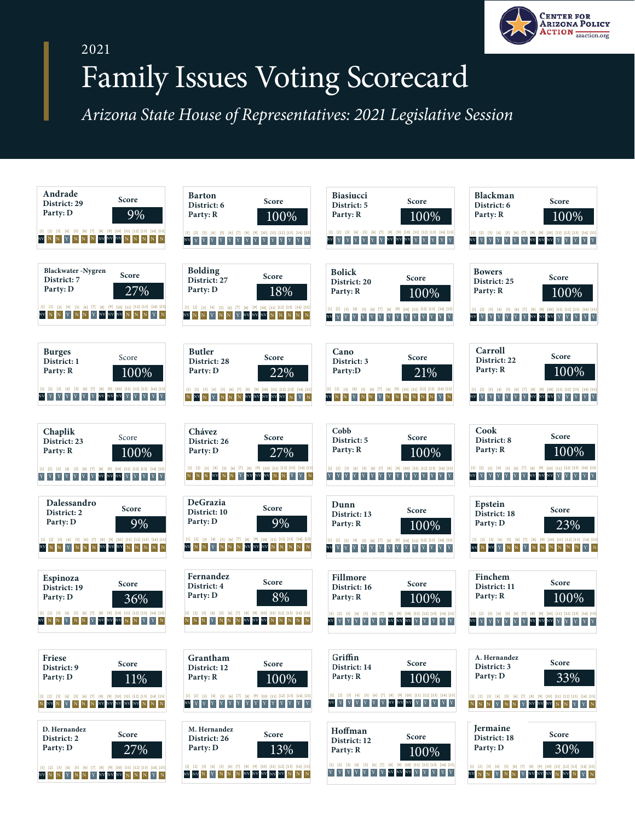

## 2021

## Family Issues Voting Scorecard

Arizona State House of Representatives: 2021 Legislative Session

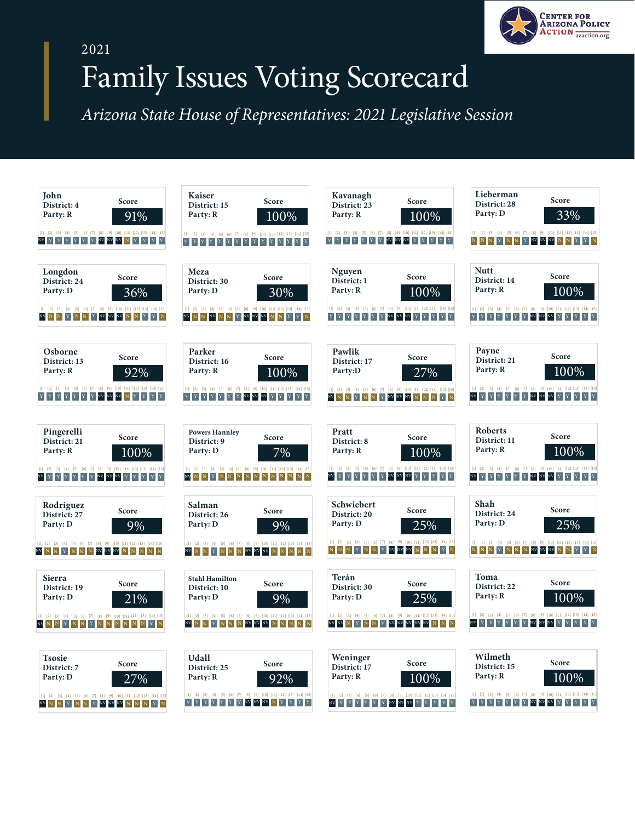

## 2021

## Family Issues Voting Scorecard

Arizona State House of Representatives: 2021 Legislative Session

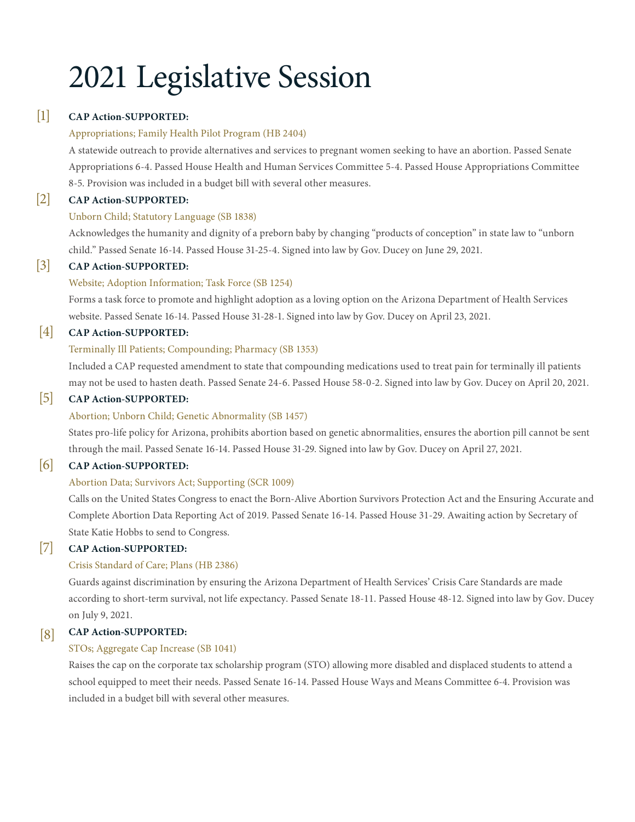# 2021 Legislative Session

#### [1] **CAP Action-SUPPORTED:**

## Appropriations; Family Health Pilot Program (HB 2404)

A statewide outreach to provide alternatives and services to pregnant women seeking to have an abortion. Passed Senate [Appropriations 6-4. Passed House Health and Human Services Committee 5-4. Passed House Appropriations Committee](https://apps.azleg.gov/BillStatus/BillOverview/74942)  8-5. Provision was included in a budget bill with several other measures.

#### [2] **CAP Action-SUPPORTED:**

## Unborn Child; Statutory Language (SB 1838)

[Acknowledges the humanity and dignity of a preborn baby by changing "products of conception" in state law to "unborn](https://apps.azleg.gov/BillStatus/BillOverview/76193)  child." Passed Senate 16-14. Passed House 31-25-4. Signed into law by Gov. Ducey on June 29, 2021.

#### $\vert 3 \vert$ **CAP Action-SUPPORTED:**

## Website; Adoption Information; Task Force (SB 1254)

[Forms a task force to promote and highlight adoption as a loving option on the Arizona Department of Health Services](https://apps.azleg.gov/BillStatus/BillOverview/75005)  website. Passed Senate 16-14. Passed House 31-28-1. Signed into law by Gov. Ducey on April 23, 2021.

#### [4] **CAP Action-SUPPORTED:**

## Terminally Ill Patients; Compounding; Pharmacy (SB 1353)

[Included a CAP requested amendment to state that compounding medications used to treat pain for terminally ill patients](https://apps.azleg.gov/BillStatus/BillOverview/75371)  may not be used to hasten death. Passed Senate 24-6. Passed House 58-0-2. Signed into law by Gov. Ducey on April 20, 2021.

#### [5] **CAP Action-SUPPORTED:**

## Abortion; Unborn Child; Genetic Abnormality (SB 1457)

[States pro-life policy for Arizona, prohibits abortion based on genetic abnormalities, ensures the abortion pill cannot be sent](https://apps.azleg.gov/BillStatus/BillOverview/75512)  through the mail. Passed Senate 16-14. Passed House 31-29. Signed into law by Gov. Ducey on April 27, 2021.

#### [6] **CAP Action-SUPPORTED:**

## Abortion Data; Survivors Act; Supporting (SCR 1009)

[Calls on the United States Congress to enact the Born-Alive Abortion Survivors Protection Act and the Ensuring Accurate and](https://apps.azleg.gov/BillStatus/BillOverview/74617)  Complete Abortion Data Reporting Act of 2019. Passed Senate 16-14. Passed House 31-29. Awaiting action by Secretary of State Katie Hobbs to send to Congress.

#### [7] **CAP Action-SUPPORTED:**

## Crisis Standard of Care; Plans (HB 2386)

Guards against discrimination by ensuring the Arizona Department of Health Services' Crisis Care Standards are made according to short-term survival, not life expectancy. Passed Senate 18-11. Passed House 48-12. Signed into law by Gov. Ducey on July 9, 2021.

#### **CAP Action-SUPPORTED:** [8]

## STOs; Aggregate Cap Increase (SB 1041)

Raises the cap on the corporate tax scholarship program (STO) allowing more disabled and displaced students to attend a [school equipped to meet their needs. Passed Senate 16-14. Passed House Ways and Means Committee 6-4. Provision was](https://apps.azleg.gov/billStatus/BillOverview/74354)  included in a budget bill with several other measures.